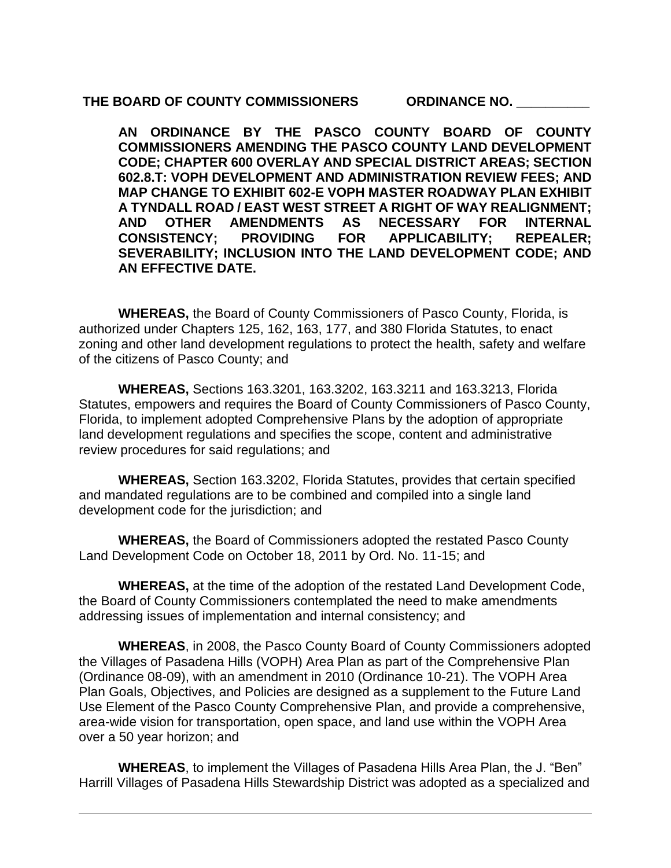#### THE BOARD OF COUNTY COMMISSIONERS **ORDINANCE NO.**

**AN ORDINANCE BY THE PASCO COUNTY BOARD OF COUNTY COMMISSIONERS AMENDING THE PASCO COUNTY LAND DEVELOPMENT CODE; CHAPTER 600 OVERLAY AND SPECIAL DISTRICT AREAS; SECTION 602.8.T: VOPH DEVELOPMENT AND ADMINISTRATION REVIEW FEES; AND MAP CHANGE TO EXHIBIT 602-E VOPH MASTER ROADWAY PLAN EXHIBIT A TYNDALL ROAD / EAST WEST STREET A RIGHT OF WAY REALIGNMENT; AND OTHER AMENDMENTS AS NECESSARY FOR INTERNAL CONSISTENCY; PROVIDING FOR APPLICABILITY; REPEALER; SEVERABILITY; INCLUSION INTO THE LAND DEVELOPMENT CODE; AND AN EFFECTIVE DATE.**

**WHEREAS,** the Board of County Commissioners of Pasco County, Florida, is authorized under Chapters 125, 162, 163, 177, and 380 Florida Statutes, to enact zoning and other land development regulations to protect the health, safety and welfare of the citizens of Pasco County; and

**WHEREAS,** Sections 163.3201, 163.3202, 163.3211 and 163.3213, Florida Statutes, empowers and requires the Board of County Commissioners of Pasco County, Florida, to implement adopted Comprehensive Plans by the adoption of appropriate land development regulations and specifies the scope, content and administrative review procedures for said regulations; and

**WHEREAS,** Section 163.3202, Florida Statutes, provides that certain specified and mandated regulations are to be combined and compiled into a single land development code for the jurisdiction; and

**WHEREAS,** the Board of Commissioners adopted the restated Pasco County Land Development Code on October 18, 2011 by Ord. No. 11-15; and

**WHEREAS,** at the time of the adoption of the restated Land Development Code, the Board of County Commissioners contemplated the need to make amendments addressing issues of implementation and internal consistency; and

**WHEREAS**, in 2008, the Pasco County Board of County Commissioners adopted the Villages of Pasadena Hills (VOPH) Area Plan as part of the Comprehensive Plan (Ordinance 08-09), with an amendment in 2010 (Ordinance 10-21). The VOPH Area Plan Goals, Objectives, and Policies are designed as a supplement to the Future Land Use Element of the Pasco County Comprehensive Plan, and provide a comprehensive, area-wide vision for transportation, open space, and land use within the VOPH Area over a 50 year horizon; and

**WHEREAS**, to implement the Villages of Pasadena Hills Area Plan, the J. "Ben" Harrill Villages of Pasadena Hills Stewardship District was adopted as a specialized and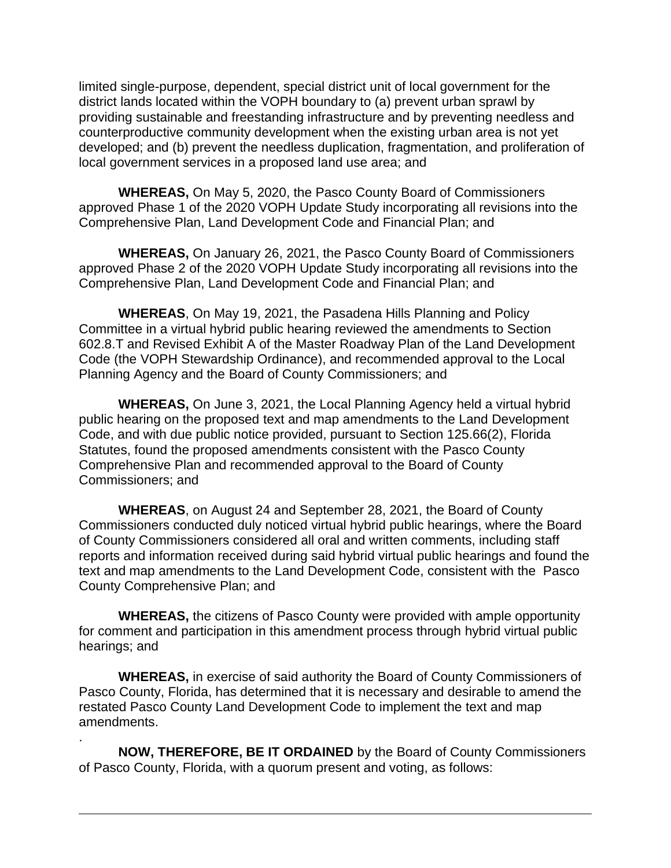limited single-purpose, dependent, special district unit of local government for the district lands located within the VOPH boundary to (a) prevent urban sprawl by providing sustainable and freestanding infrastructure and by preventing needless and counterproductive community development when the existing urban area is not yet developed; and (b) prevent the needless duplication, fragmentation, and proliferation of local government services in a proposed land use area; and

**WHEREAS,** On May 5, 2020, the Pasco County Board of Commissioners approved Phase 1 of the 2020 VOPH Update Study incorporating all revisions into the Comprehensive Plan, Land Development Code and Financial Plan; and

**WHEREAS,** On January 26, 2021, the Pasco County Board of Commissioners approved Phase 2 of the 2020 VOPH Update Study incorporating all revisions into the Comprehensive Plan, Land Development Code and Financial Plan; and

**WHEREAS**, On May 19, 2021, the Pasadena Hills Planning and Policy Committee in a virtual hybrid public hearing reviewed the amendments to Section 602.8.T and Revised Exhibit A of the Master Roadway Plan of the Land Development Code (the VOPH Stewardship Ordinance), and recommended approval to the Local Planning Agency and the Board of County Commissioners; and

**WHEREAS,** On June 3, 2021, the Local Planning Agency held a virtual hybrid public hearing on the proposed text and map amendments to the Land Development Code, and with due public notice provided, pursuant to Section 125.66(2), Florida Statutes, found the proposed amendments consistent with the Pasco County Comprehensive Plan and recommended approval to the Board of County Commissioners; and

**WHEREAS**, on August 24 and September 28, 2021, the Board of County Commissioners conducted duly noticed virtual hybrid public hearings, where the Board of County Commissioners considered all oral and written comments, including staff reports and information received during said hybrid virtual public hearings and found the text and map amendments to the Land Development Code, consistent with the Pasco County Comprehensive Plan; and

**WHEREAS,** the citizens of Pasco County were provided with ample opportunity for comment and participation in this amendment process through hybrid virtual public hearings; and

**WHEREAS,** in exercise of said authority the Board of County Commissioners of Pasco County, Florida, has determined that it is necessary and desirable to amend the restated Pasco County Land Development Code to implement the text and map amendments.

**NOW, THEREFORE, BE IT ORDAINED** by the Board of County Commissioners of Pasco County, Florida, with a quorum present and voting, as follows:

.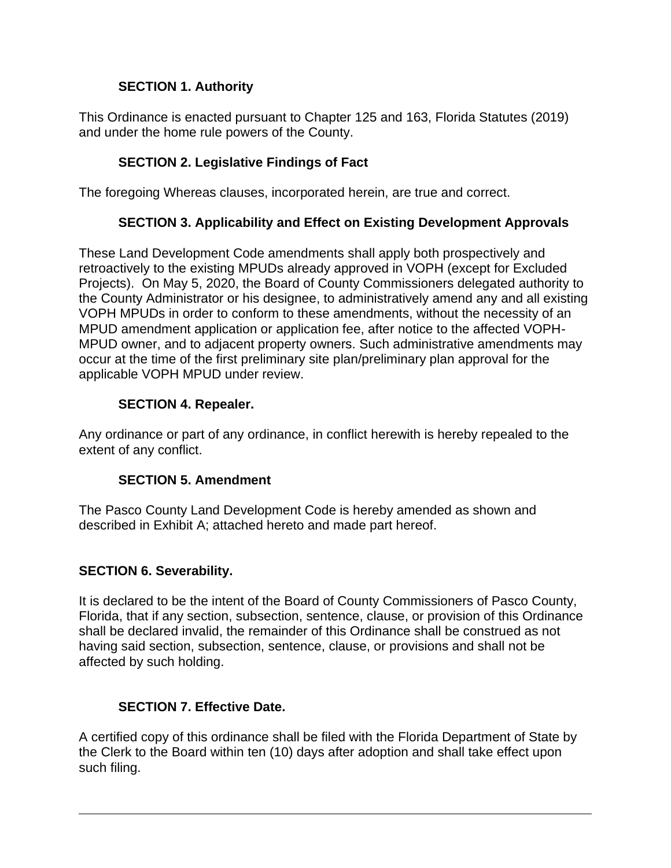# **SECTION 1. Authority**

This Ordinance is enacted pursuant to Chapter 125 and 163, Florida Statutes (2019) and under the home rule powers of the County.

# **SECTION 2. Legislative Findings of Fact**

The foregoing Whereas clauses, incorporated herein, are true and correct.

# **SECTION 3. Applicability and Effect on Existing Development Approvals**

These Land Development Code amendments shall apply both prospectively and retroactively to the existing MPUDs already approved in VOPH (except for Excluded Projects). On May 5, 2020, the Board of County Commissioners delegated authority to the County Administrator or his designee, to administratively amend any and all existing VOPH MPUDs in order to conform to these amendments, without the necessity of an MPUD amendment application or application fee, after notice to the affected VOPH-MPUD owner, and to adjacent property owners. Such administrative amendments may occur at the time of the first preliminary site plan/preliminary plan approval for the applicable VOPH MPUD under review.

# **SECTION 4. Repealer.**

Any ordinance or part of any ordinance, in conflict herewith is hereby repealed to the extent of any conflict.

# **SECTION 5. Amendment**

The Pasco County Land Development Code is hereby amended as shown and described in Exhibit A; attached hereto and made part hereof.

# **SECTION 6. Severability.**

It is declared to be the intent of the Board of County Commissioners of Pasco County, Florida, that if any section, subsection, sentence, clause, or provision of this Ordinance shall be declared invalid, the remainder of this Ordinance shall be construed as not having said section, subsection, sentence, clause, or provisions and shall not be affected by such holding.

# **SECTION 7. Effective Date.**

A certified copy of this ordinance shall be filed with the Florida Department of State by the Clerk to the Board within ten (10) days after adoption and shall take effect upon such filing.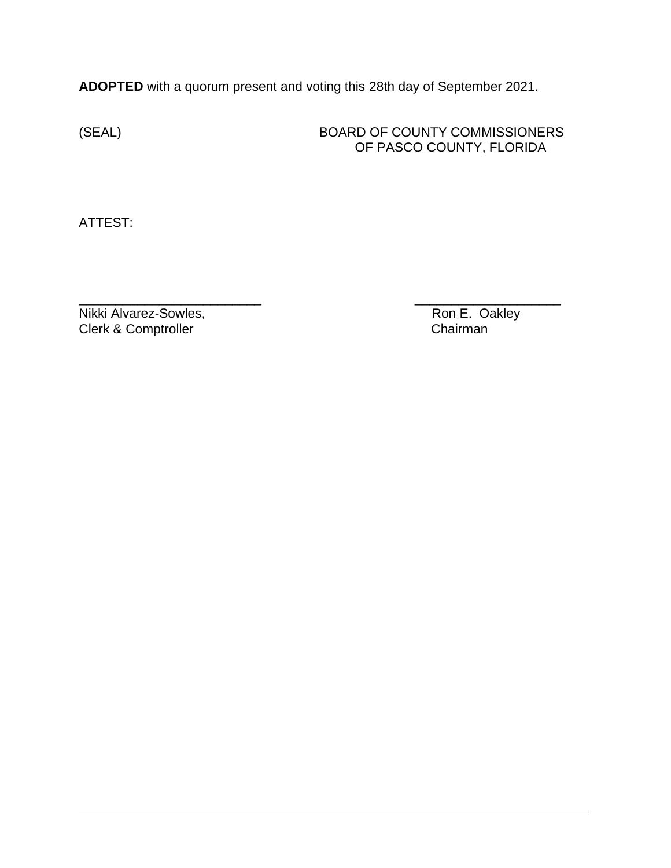**ADOPTED** with a quorum present and voting this 28th day of September 2021.

# (SEAL) BOARD OF COUNTY COMMISSIONERS OF PASCO COUNTY, FLORIDA

ATTEST:

\_\_\_\_\_\_\_\_\_\_\_\_\_\_\_\_\_\_\_\_\_\_\_\_\_ \_\_\_\_\_\_\_\_\_\_\_\_\_\_\_\_\_\_\_\_ Nikki Alvarez-Sowles, Nikki Alvarez-Sowles, Clerk & Comptroller **Clerk & Comptroller** Chairman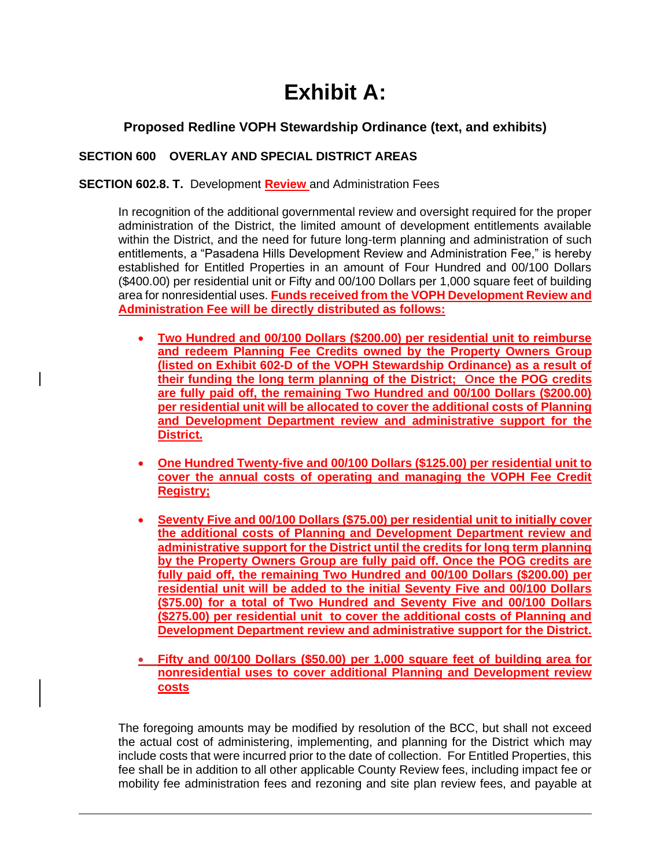# **Exhibit A:**

# **Proposed Redline VOPH Stewardship Ordinance (text, and exhibits)**

### **SECTION 600 OVERLAY AND SPECIAL DISTRICT AREAS**

#### **SECTION 602.8. T.** Development **Review** and Administration Fees

In recognition of the additional governmental review and oversight required for the proper administration of the District, the limited amount of development entitlements available within the District, and the need for future long-term planning and administration of such entitlements, a "Pasadena Hills Development Review and Administration Fee," is hereby established for Entitled Properties in an amount of Four Hundred and 00/100 Dollars (\$400.00) per residential unit or Fifty and 00/100 Dollars per 1,000 square feet of building area for nonresidential uses. **Funds received from the VOPH Development Review and Administration Fee will be directly distributed as follows:**

- **Two Hundred and 00/100 Dollars (\$200.00) per residential unit to reimburse and redeem Planning Fee Credits owned by the Property Owners Group (listed on Exhibit 602-D of the VOPH Stewardship Ordinance) as a result of their funding the long term planning of the District; Once the POG credits are fully paid off, the remaining Two Hundred and 00/100 Dollars (\$200.00) per residential unit will be allocated to cover the additional costs of Planning and Development Department review and administrative support for the District.**
- **One Hundred Twenty-five and 00/100 Dollars (\$125.00) per residential unit to cover the annual costs of operating and managing the VOPH Fee Credit Registry;**
- **Seventy Five and 00/100 Dollars (\$75.00) per residential unit to initially cover the additional costs of Planning and Development Department review and administrative support for the District until the credits for long term planning by the Property Owners Group are fully paid off. Once the POG credits are fully paid off, the remaining Two Hundred and 00/100 Dollars (\$200.00) per residential unit will be added to the initial Seventy Five and 00/100 Dollars (\$75.00) for a total of Two Hundred and Seventy Five and 00/100 Dollars (\$275.00) per residential unit to cover the additional costs of Planning and Development Department review and administrative support for the District.**
- **Fifty and 00/100 Dollars (\$50.00) per 1,000 square feet of building area for nonresidential uses to cover additional Planning and Development review costs**

The foregoing amounts may be modified by resolution of the BCC, but shall not exceed the actual cost of administering, implementing, and planning for the District which may include costs that were incurred prior to the date of collection. For Entitled Properties, this fee shall be in addition to all other applicable County Review fees, including impact fee or mobility fee administration fees and rezoning and site plan review fees, and payable at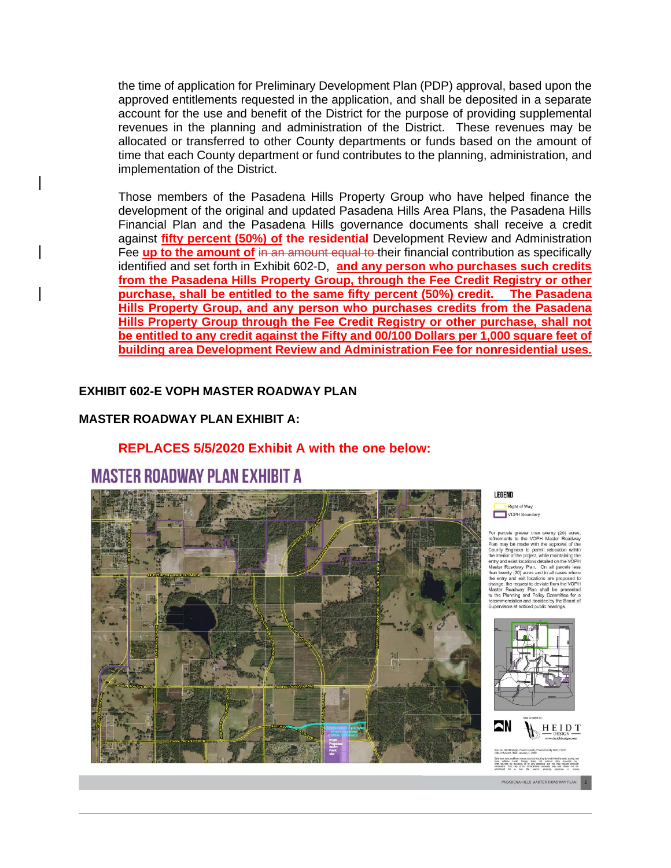the time of application for Preliminary Development Plan (PDP) approval, based upon the approved entitlements requested in the application, and shall be deposited in a separate account for the use and benefit of the District for the purpose of providing supplemental revenues in the planning and administration of the District. These revenues may be allocated or transferred to other County departments or funds based on the amount of time that each County department or fund contributes to the planning, administration, and implementation of the District.

Those members of the Pasadena Hills Property Group who have helped finance the development of the original and updated Pasadena Hills Area Plans, the Pasadena Hills Financial Plan and the Pasadena Hills governance documents shall receive a credit against **fifty percent (50%) of the residential** Development Review and Administration Fee up to the amount of in an amount equal to their financial contribution as specifically identified and set forth in Exhibit 602-D, **and any person who purchases such credits from the Pasadena Hills Property Group, through the Fee Credit Registry or other purchase, shall be entitled to the same fifty percent (50%) credit. The Pasadena Hills Property Group, and any person who purchases credits from the Pasadena Hills Property Group through the Fee Credit Registry or other purchase, shall not be entitled to any credit against the Fifty and 00/100 Dollars per 1,000 square feet of building area Development Review and Administration Fee for nonresidential uses.**

#### **EXHIBIT 602-E VOPH MASTER ROADWAY PLAN**

#### **MASTER ROADWAY PLAN EXHIBIT A:**

#### **REPLACES 5/5/2020 Exhibit A with the one below:**

# **MASTER ROADWAY PLAN EXHIBIT A**



#### LEGEND

Right of Way VOPH Boundary

for parcels greater than twenty (20) acres,<br>infiniements to the VOPH Master Roadway<br>fan may be made with the approval of the<br>clounty Engineer to permit relocation within<br>unity and exist locations detailed on the VOPH<br>inty the Planning and Policy Cor<br>commendation and decided by tee for a d by the Board of Supervisors at noticed public hearings





tical extras. Nell: Design dues not warset data provide by<br>other sources for accuracy, or for any particular and that may require accurate<br>whereases, This may is the informational purposes only and sheard nut be

PASADENA HILLS MASTER ROADWAY PLAN